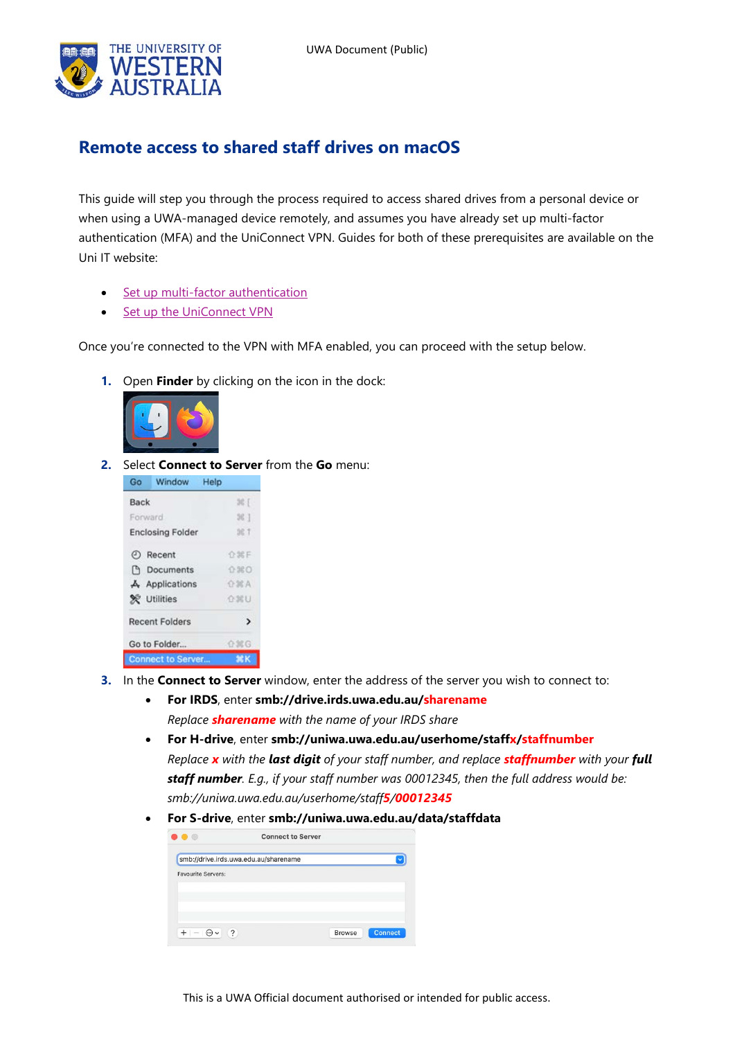

## **Remote access to shared staff drives on macOS**

This guide will step you through the process required to access shared drives from a personal device or when using a UWA-managed device remotely, and assumes you have already set up multi-factor authentication (MFA) and the UniConnect VPN. Guides for both of these prerequisites are available on the Uni IT website:

- [Set up multi-factor authentication](https://www.it.uwa.edu.au/it-help/staff-all/mfa)
- [Set up the UniConnect VPN](https://www.it.uwa.edu.au/it-help/access/uniconnect)

Once you're connected to the VPN with MFA enabled, you can proceed with the setup below.

**1.** Open **Finder** by clicking on the icon in the dock:



**2.** Select **Connect to Server** from the **Go** menu:



- **3.** In the **Connect to Server** window, enter the address of the server you wish to connect to:
	- **For IRDS**, enter **smb://drive.irds.uwa.edu.au/sharename** *Replace sharename with the name of your IRDS share*
	- **For H-drive**, enter **smb://uniwa.uwa.edu.au/userhome/staffx/staffnumber** *Replace x with the last digit of your staff number, and replace staffnumber with your full staff number. E.g., if your staff number was 00012345, then the full address would be: smb://uniwa.uwa.edu.au/userhome/staff5/00012345*
	- **For S-drive**, enter **smb://uniwa.uwa.edu.au/data/staffdata**

| . 68                      |                                       | <b>Connect to Server</b> |               |                |
|---------------------------|---------------------------------------|--------------------------|---------------|----------------|
|                           | smb://drive.irds.uwa.edu.au/sharename |                          |               |                |
| <b>Favourite Servers:</b> |                                       |                          |               |                |
|                           |                                       |                          |               |                |
|                           |                                       |                          |               |                |
|                           |                                       |                          |               |                |
| (                         | ?                                     |                          | <b>Browse</b> | <b>Connect</b> |